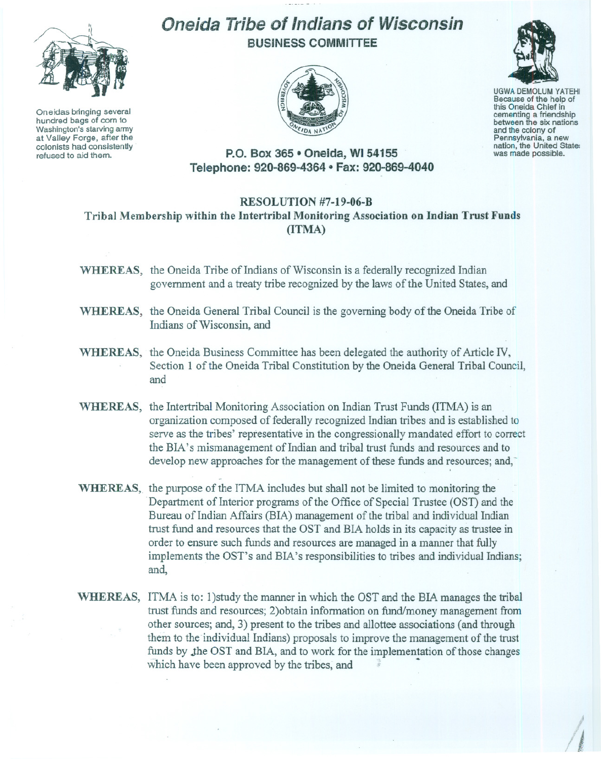

Oneidas bringing several hundred bags of corn to Washington's starving army at Valley Forge, after the colonists had consistently refused to aid them.

## Oneida Tribe of Indians of Wisconsin BUSINESS COMMITTEE



UGWA DEMOLUM YATEHI Because of the help of this Oneida Chief in between the six nations and the colony of<br>Pennsylvania, a new nation, the United State: was made possible.

## P.O. Box 365· Oneida, WI 54155 Telephone: 920-869-4364 • Fax: 920-869-4040

## RESOLUTION #7-19-06-B Tribal Membership within the Intertribal Monitoring Association on Indian Trust Funds (ITMA)

- WHEREAS, the Oneida Tribe of Indians of Wisconsin is a federally recognized Indian government and a treaty tribe recognized by the laws of the United States, and
- WHEREAS, the Oneida General Tribal Council is the governing body of the Oneida Tribe of Indians of Wisconsin, and
- WHEREAS, the Oneida Business Committee has been delegated the authority of Article IV, Section 1 of the Oneida Tribal Constitution by the Oneida General Tribal Council, and
- WHEREAS, the Intertribal Monitoring Association on Indian Trust Funds (ITMA) is an organization composed of federally recognized Indian tribes and is established to serve as the tribes' representative in the congressionally mandated effort to correct the BIA's mismanagement of Indian and tribal trust funds and resources and to develop new approaches for the management of these funds and resources; and,
- WHEREAS, the purpose of the ITMA includes but shall not be limited to monitoring the .Department of Interior programs of the Office of Special Trustee (OST) and the Bureau of Indian Affairs (BIA) management of the tribal and individual Indian trust fund and resources that the OST and BIA holds in its capacity as trustee in order to ensure such fimds and resources are managed in a manner that fully implements the OST's and BIA's responsibilities to tribes and individual Indians; and,
- WHEREAS, ITMA is to: 1)study the manner in which the OST and the BIA manages the tribal trust funds and resources; 2)obtain information on fimd/money management from other sources; and, 3) present to the tribes and allottee associations (and through them to the individual Indians) proposals to improve the management of the trust funds by the OST and BIA, and to work for the implementation of those changes which have been approved by the tribes, and